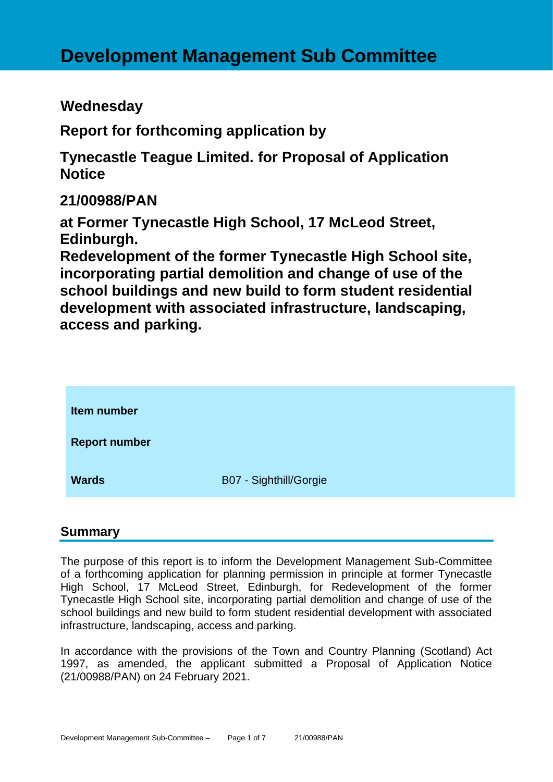# **Wednesday**

**Report for forthcoming application by**

**Tynecastle Teague Limited. for Proposal of Application Notice** 

**21/00988/PAN**

**at Former Tynecastle High School, 17 McLeod Street, Edinburgh.**

**Redevelopment of the former Tynecastle High School site, incorporating partial demolition and change of use of the school buildings and new build to form student residential development with associated infrastructure, landscaping, access and parking.**

| Item number          |                        |
|----------------------|------------------------|
| <b>Report number</b> |                        |
| <b>Wards</b>         | B07 - Sighthill/Gorgie |

## **Summary**

The purpose of this report is to inform the Development Management Sub-Committee of a forthcoming application for planning permission in principle at former Tynecastle High School, 17 McLeod Street, Edinburgh, for Redevelopment of the former Tynecastle High School site, incorporating partial demolition and change of use of the school buildings and new build to form student residential development with associated infrastructure, landscaping, access and parking.

In accordance with the provisions of the Town and Country Planning (Scotland) Act 1997, as amended, the applicant submitted a Proposal of Application Notice (21/00988/PAN) on 24 February 2021.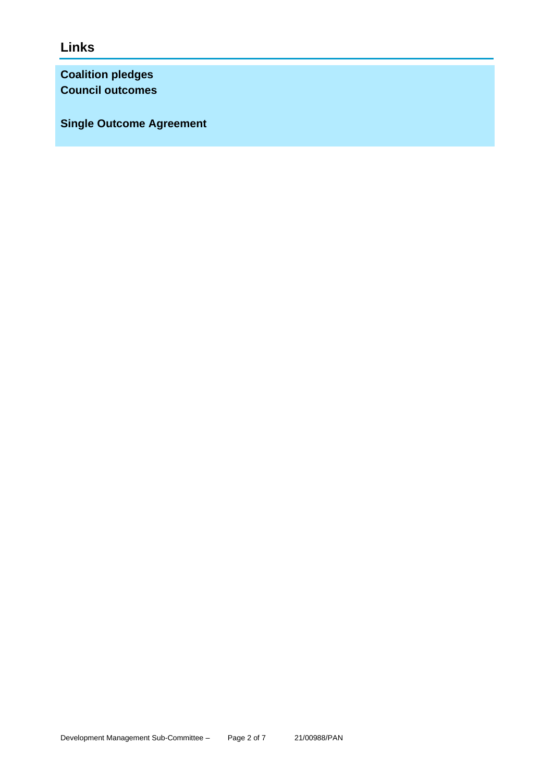**Links**

**Coalition pledges Council outcomes**

**Single Outcome Agreement**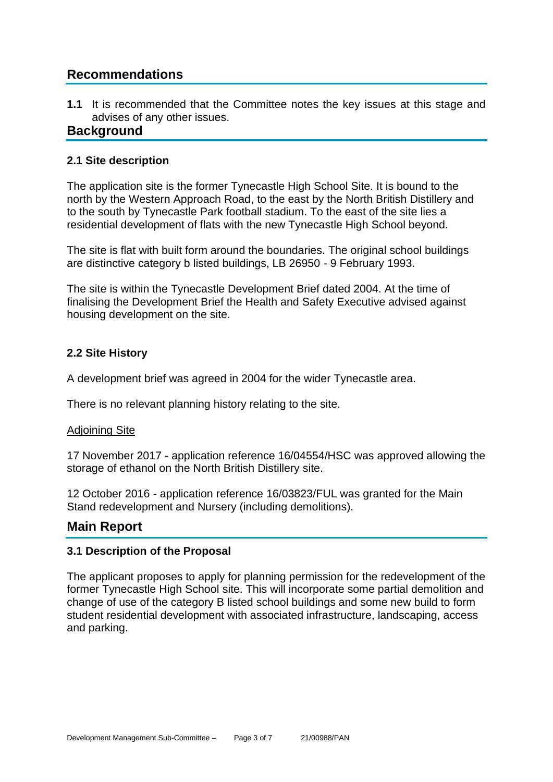# **Recommendations**

**1.1** It is recommended that the Committee notes the key issues at this stage and advises of any other issues.

## **Background**

#### **2.1 Site description**

The application site is the former Tynecastle High School Site. It is bound to the north by the Western Approach Road, to the east by the North British Distillery and to the south by Tynecastle Park football stadium. To the east of the site lies a residential development of flats with the new Tynecastle High School beyond.

The site is flat with built form around the boundaries. The original school buildings are distinctive category b listed buildings, LB 26950 - 9 February 1993.

The site is within the Tynecastle Development Brief dated 2004. At the time of finalising the Development Brief the Health and Safety Executive advised against housing development on the site.

#### **2.2 Site History**

A development brief was agreed in 2004 for the wider Tynecastle area.

There is no relevant planning history relating to the site.

#### Adjoining Site

17 November 2017 - application reference 16/04554/HSC was approved allowing the storage of ethanol on the North British Distillery site.

12 October 2016 - application reference 16/03823/FUL was granted for the Main Stand redevelopment and Nursery (including demolitions).

## **Main Report**

#### **3.1 Description of the Proposal**

The applicant proposes to apply for planning permission for the redevelopment of the former Tynecastle High School site. This will incorporate some partial demolition and change of use of the category B listed school buildings and some new build to form student residential development with associated infrastructure, landscaping, access and parking.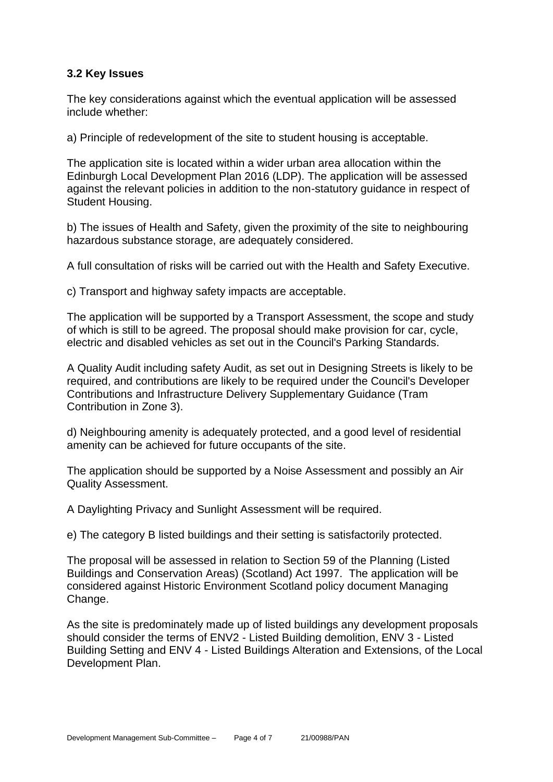#### **3.2 Key Issues**

The key considerations against which the eventual application will be assessed include whether:

a) Principle of redevelopment of the site to student housing is acceptable.

The application site is located within a wider urban area allocation within the Edinburgh Local Development Plan 2016 (LDP). The application will be assessed against the relevant policies in addition to the non-statutory guidance in respect of Student Housing.

b) The issues of Health and Safety, given the proximity of the site to neighbouring hazardous substance storage, are adequately considered.

A full consultation of risks will be carried out with the Health and Safety Executive.

c) Transport and highway safety impacts are acceptable.

The application will be supported by a Transport Assessment, the scope and study of which is still to be agreed. The proposal should make provision for car, cycle, electric and disabled vehicles as set out in the Council's Parking Standards.

A Quality Audit including safety Audit, as set out in Designing Streets is likely to be required, and contributions are likely to be required under the Council's Developer Contributions and Infrastructure Delivery Supplementary Guidance (Tram Contribution in Zone 3).

d) Neighbouring amenity is adequately protected, and a good level of residential amenity can be achieved for future occupants of the site.

The application should be supported by a Noise Assessment and possibly an Air Quality Assessment.

A Daylighting Privacy and Sunlight Assessment will be required.

e) The category B listed buildings and their setting is satisfactorily protected.

The proposal will be assessed in relation to Section 59 of the Planning (Listed Buildings and Conservation Areas) (Scotland) Act 1997. The application will be considered against Historic Environment Scotland policy document Managing Change.

As the site is predominately made up of listed buildings any development proposals should consider the terms of ENV2 - Listed Building demolition, ENV 3 - Listed Building Setting and ENV 4 - Listed Buildings Alteration and Extensions, of the Local Development Plan.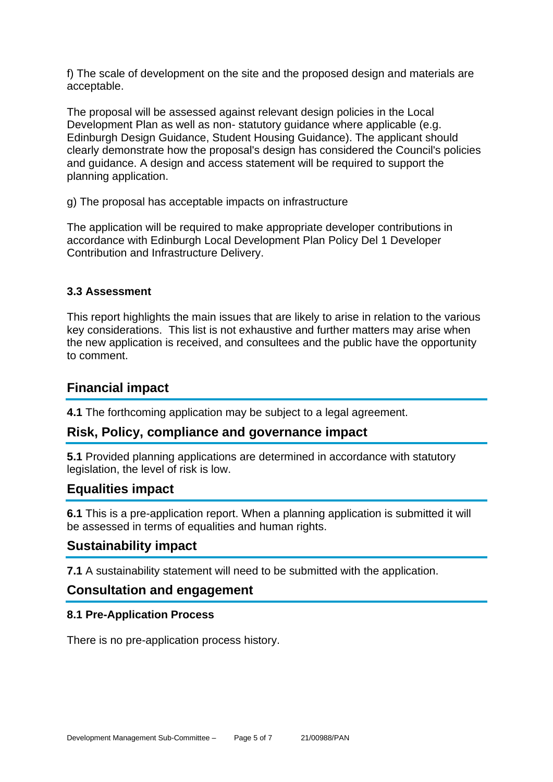f) The scale of development on the site and the proposed design and materials are acceptable.

The proposal will be assessed against relevant design policies in the Local Development Plan as well as non- statutory guidance where applicable (e.g. Edinburgh Design Guidance, Student Housing Guidance). The applicant should clearly demonstrate how the proposal's design has considered the Council's policies and guidance. A design and access statement will be required to support the planning application.

g) The proposal has acceptable impacts on infrastructure

The application will be required to make appropriate developer contributions in accordance with Edinburgh Local Development Plan Policy Del 1 Developer Contribution and Infrastructure Delivery.

#### **3.3 Assessment**

This report highlights the main issues that are likely to arise in relation to the various key considerations. This list is not exhaustive and further matters may arise when the new application is received, and consultees and the public have the opportunity to comment.

## **Financial impact**

**4.1** The forthcoming application may be subject to a legal agreement.

## **Risk, Policy, compliance and governance impact**

**5.1** Provided planning applications are determined in accordance with statutory legislation, the level of risk is low.

## **Equalities impact**

**6.1** This is a pre-application report. When a planning application is submitted it will be assessed in terms of equalities and human rights.

## **Sustainability impact**

**7.1** A sustainability statement will need to be submitted with the application.

## **Consultation and engagement**

#### **8.1 Pre-Application Process**

There is no pre-application process history.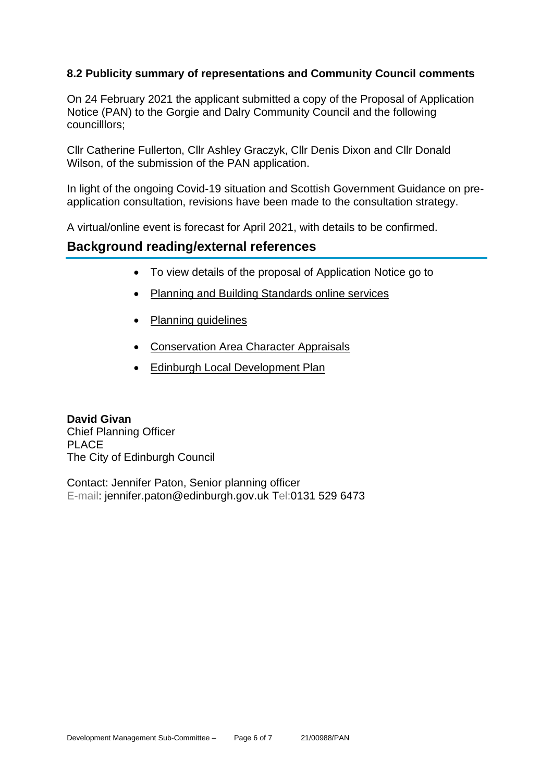#### **8.2 Publicity summary of representations and Community Council comments**

On 24 February 2021 the applicant submitted a copy of the Proposal of Application Notice (PAN) to the Gorgie and Dalry Community Council and the following councilllors;

Cllr Catherine Fullerton, Cllr Ashley Graczyk, Cllr Denis Dixon and Cllr Donald Wilson, of the submission of the PAN application.

In light of the ongoing Covid-19 situation and Scottish Government Guidance on preapplication consultation, revisions have been made to the consultation strategy.

A virtual/online event is forecast for April 2021, with details to be confirmed.

## **Background reading/external references**

- To view details of the proposal of Application Notice go to
- [Planning and Building Standards online services](https://citydev-portal.edinburgh.gov.uk/idoxpa-web/search.do?action=simple&searchType=Application)
- [Planning guidelines](http://www.edinburgh.gov.uk/planningguidelines)
- [Conservation Area Character Appraisals](http://www.edinburgh.gov.uk/characterappraisals)
- **[Edinburgh Local Development Plan](http://www.edinburgh.gov.uk/info/20164/proposed_local_development_plan/66/local_development_plan)**

**David Givan** Chief Planning Officer PLACE The City of Edinburgh Council

Contact: Jennifer Paton, Senior planning officer E-mail: jennifer.paton@edinburgh.gov.uk Tel:0131 529 6473